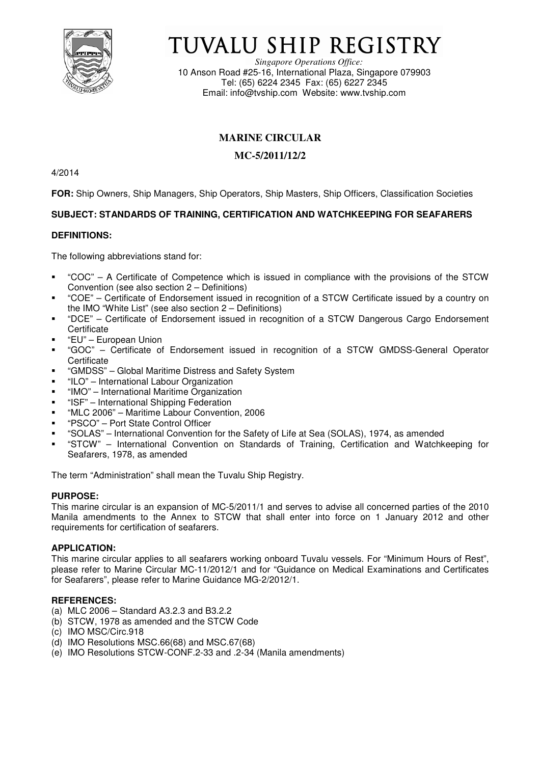

# TUVALU SHIP REGISTRY

*Singapore Operations Office:* 10 Anson Road #25-16, International Plaza, Singapore 079903 Tel: (65) 6224 2345 Fax: (65) 6227 2345 Email: info@tvship.com Website: www.tvship.com

## **MARINE CIRCULAR**

## **MC-5/2011/12/2**

4/2014

**FOR:** Ship Owners, Ship Managers, Ship Operators, Ship Masters, Ship Officers, Classification Societies

## **SUBJECT: STANDARDS OF TRAINING, CERTIFICATION AND WATCHKEEPING FOR SEAFARERS**

## **DEFINITIONS:**

The following abbreviations stand for:

- "COC" A Certificate of Competence which is issued in compliance with the provisions of the STCW Convention (see also section 2 – Definitions)
- "COE" Certificate of Endorsement issued in recognition of a STCW Certificate issued by a country on the IMO "White List" (see also section 2 – Definitions)
- "DCE" Certificate of Endorsement issued in recognition of a STCW Dangerous Cargo Endorsement **Certificate**
- "EU" European Union
- "GOC" Certificate of Endorsement issued in recognition of a STCW GMDSS-General Operator **Certificate**
- "GMDSS" Global Maritime Distress and Safety System
- "ILO" International Labour Organization
- "IMO" International Maritime Organization
- **EXECT** International Shipping Federation
- "MLC 2006" Maritime Labour Convention, 2006
- "PSCO" Port State Control Officer
- "SOLAS" International Convention for the Safety of Life at Sea (SOLAS), 1974, as amended
- "STCW" International Convention on Standards of Training, Certification and Watchkeeping for Seafarers, 1978, as amended

The term "Administration" shall mean the Tuvalu Ship Registry.

## **PURPOSE:**

This marine circular is an expansion of MC-5/2011/1 and serves to advise all concerned parties of the 2010 Manila amendments to the Annex to STCW that shall enter into force on 1 January 2012 and other requirements for certification of seafarers.

## **APPLICATION:**

This marine circular applies to all seafarers working onboard Tuvalu vessels. For "Minimum Hours of Rest", please refer to Marine Circular MC-11/2012/1 and for "Guidance on Medical Examinations and Certificates for Seafarers", please refer to Marine Guidance MG-2/2012/1.

## **REFERENCES:**

- (a) MLC 2006 Standard A3.2.3 and B3.2.2
- (b) STCW, 1978 as amended and the STCW Code
- (c) IMO MSC/Circ.918
- (d) IMO Resolutions MSC.66(68) and MSC.67(68)
- (e) IMO Resolutions STCW-CONF.2-33 and .2-34 (Manila amendments)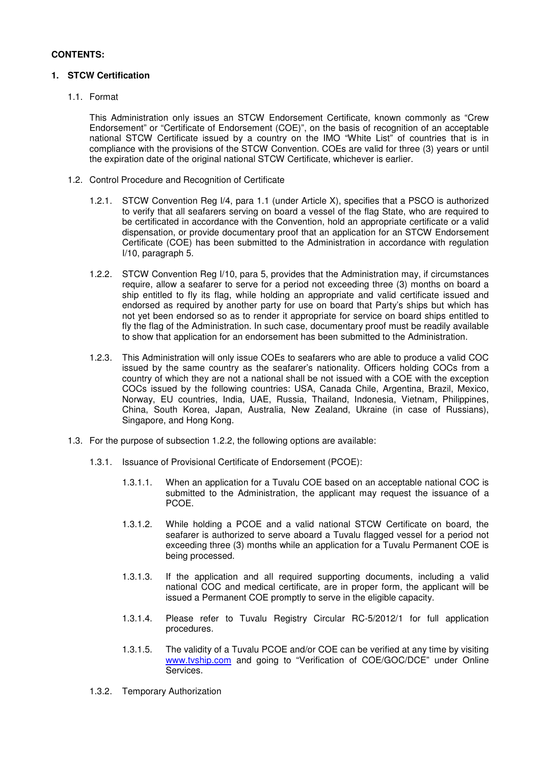## **CONTENTS:**

## **1. STCW Certification**

1.1. Format

This Administration only issues an STCW Endorsement Certificate, known commonly as "Crew Endorsement" or "Certificate of Endorsement (COE)", on the basis of recognition of an acceptable national STCW Certificate issued by a country on the IMO "White List" of countries that is in compliance with the provisions of the STCW Convention. COEs are valid for three (3) years or until the expiration date of the original national STCW Certificate, whichever is earlier.

- 1.2. Control Procedure and Recognition of Certificate
	- 1.2.1. STCW Convention Reg I/4, para 1.1 (under Article X), specifies that a PSCO is authorized to verify that all seafarers serving on board a vessel of the flag State, who are required to be certificated in accordance with the Convention, hold an appropriate certificate or a valid dispensation, or provide documentary proof that an application for an STCW Endorsement Certificate (COE) has been submitted to the Administration in accordance with regulation I/10, paragraph 5.
	- 1.2.2. STCW Convention Reg I/10, para 5, provides that the Administration may, if circumstances require, allow a seafarer to serve for a period not exceeding three (3) months on board a ship entitled to fly its flag, while holding an appropriate and valid certificate issued and endorsed as required by another party for use on board that Party's ships but which has not yet been endorsed so as to render it appropriate for service on board ships entitled to fly the flag of the Administration. In such case, documentary proof must be readily available to show that application for an endorsement has been submitted to the Administration.
	- 1.2.3. This Administration will only issue COEs to seafarers who are able to produce a valid COC issued by the same country as the seafarer's nationality. Officers holding COCs from a country of which they are not a national shall be not issued with a COE with the exception COCs issued by the following countries: USA, Canada Chile, Argentina, Brazil, Mexico, Norway, EU countries, India, UAE, Russia, Thailand, Indonesia, Vietnam, Philippines, China, South Korea, Japan, Australia, New Zealand, Ukraine (in case of Russians), Singapore, and Hong Kong.
- 1.3. For the purpose of subsection 1.2.2, the following options are available:
	- 1.3.1. Issuance of Provisional Certificate of Endorsement (PCOE):
		- 1.3.1.1. When an application for a Tuvalu COE based on an acceptable national COC is submitted to the Administration, the applicant may request the issuance of a PCOE.
		- 1.3.1.2. While holding a PCOE and a valid national STCW Certificate on board, the seafarer is authorized to serve aboard a Tuvalu flagged vessel for a period not exceeding three (3) months while an application for a Tuvalu Permanent COE is being processed.
		- 1.3.1.3. If the application and all required supporting documents, including a valid national COC and medical certificate, are in proper form, the applicant will be issued a Permanent COE promptly to serve in the eligible capacity.
		- 1.3.1.4. Please refer to Tuvalu Registry Circular RC-5/2012/1 for full application procedures.
		- 1.3.1.5. The validity of a Tuvalu PCOE and/or COE can be verified at any time by visiting www.tvship.com and going to "Verification of COE/GOC/DCE" under Online Services.
	- 1.3.2. Temporary Authorization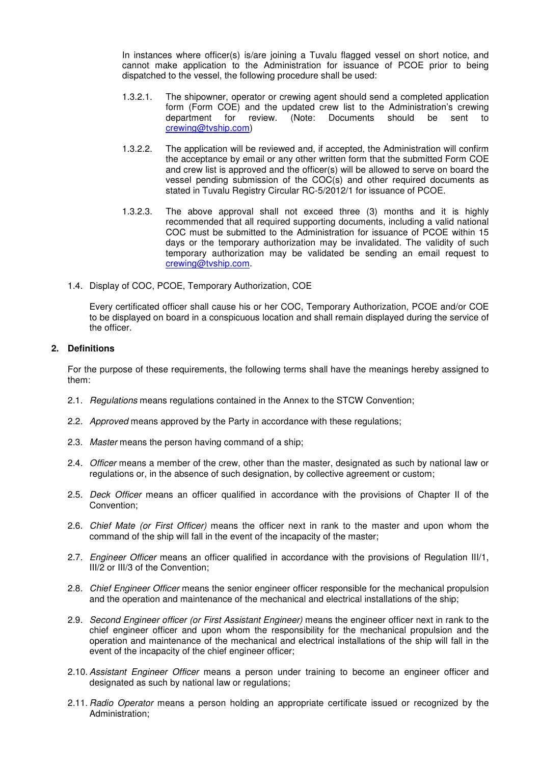In instances where officer(s) is/are joining a Tuvalu flagged vessel on short notice, and cannot make application to the Administration for issuance of PCOE prior to being dispatched to the vessel, the following procedure shall be used:

- 1.3.2.1. The shipowner, operator or crewing agent should send a completed application form (Form COE) and the updated crew list to the Administration's crewing<br>department for review. (Note: Documents should be sent to department for review. (Note: Documents should be sent to crewing@tvship.com)
- 1.3.2.2. The application will be reviewed and, if accepted, the Administration will confirm the acceptance by email or any other written form that the submitted Form COE and crew list is approved and the officer(s) will be allowed to serve on board the vessel pending submission of the COC(s) and other required documents as stated in Tuvalu Registry Circular RC-5/2012/1 for issuance of PCOE.
- 1.3.2.3. The above approval shall not exceed three (3) months and it is highly recommended that all required supporting documents, including a valid national COC must be submitted to the Administration for issuance of PCOE within 15 days or the temporary authorization may be invalidated. The validity of such temporary authorization may be validated be sending an email request to crewing@tvship.com.
- 1.4. Display of COC, PCOE, Temporary Authorization, COE

Every certificated officer shall cause his or her COC, Temporary Authorization, PCOE and/or COE to be displayed on board in a conspicuous location and shall remain displayed during the service of the officer.

#### **2. Definitions**

For the purpose of these requirements, the following terms shall have the meanings hereby assigned to them:

- 2.1. Regulations means regulations contained in the Annex to the STCW Convention;
- 2.2. Approved means approved by the Party in accordance with these regulations;
- 2.3. Master means the person having command of a ship;
- 2.4. Officer means a member of the crew, other than the master, designated as such by national law or regulations or, in the absence of such designation, by collective agreement or custom;
- 2.5. Deck Officer means an officer qualified in accordance with the provisions of Chapter II of the Convention;
- 2.6. Chief Mate (or First Officer) means the officer next in rank to the master and upon whom the command of the ship will fall in the event of the incapacity of the master;
- 2.7. Engineer Officer means an officer qualified in accordance with the provisions of Regulation III/1, III/2 or III/3 of the Convention;
- 2.8. Chief Engineer Officer means the senior engineer officer responsible for the mechanical propulsion and the operation and maintenance of the mechanical and electrical installations of the ship;
- 2.9. Second Engineer officer (or First Assistant Engineer) means the engineer officer next in rank to the chief engineer officer and upon whom the responsibility for the mechanical propulsion and the operation and maintenance of the mechanical and electrical installations of the ship will fall in the event of the incapacity of the chief engineer officer;
- 2.10. Assistant Engineer Officer means a person under training to become an engineer officer and designated as such by national law or regulations;
- 2.11. Radio Operator means a person holding an appropriate certificate issued or recognized by the Administration;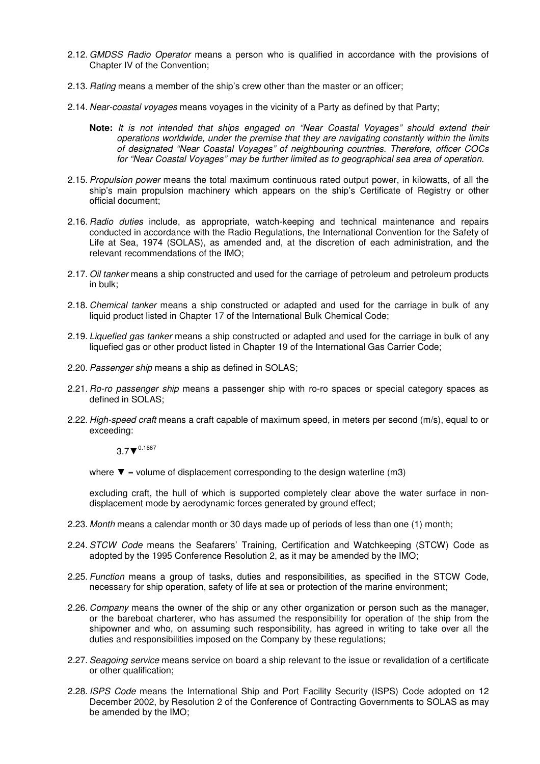- 2.12. GMDSS Radio Operator means a person who is qualified in accordance with the provisions of Chapter IV of the Convention;
- 2.13. Rating means a member of the ship's crew other than the master or an officer;
- 2.14. Near-coastal voyages means voyages in the vicinity of a Party as defined by that Party;
	- **Note:** It is not intended that ships engaged on "Near Coastal Voyages" should extend their operations worldwide, under the premise that they are navigating constantly within the limits of designated "Near Coastal Voyages" of neighbouring countries. Therefore, officer COCs for "Near Coastal Voyages" may be further limited as to geographical sea area of operation.
- 2.15. Propulsion power means the total maximum continuous rated output power, in kilowatts, of all the ship's main propulsion machinery which appears on the ship's Certificate of Registry or other official document;
- 2.16. Radio duties include, as appropriate, watch-keeping and technical maintenance and repairs conducted in accordance with the Radio Regulations, the International Convention for the Safety of Life at Sea, 1974 (SOLAS), as amended and, at the discretion of each administration, and the relevant recommendations of the IMO;
- 2.17. Oil tanker means a ship constructed and used for the carriage of petroleum and petroleum products in bulk;
- 2.18. Chemical tanker means a ship constructed or adapted and used for the carriage in bulk of any liquid product listed in Chapter 17 of the International Bulk Chemical Code;
- 2.19. Liquefied gas tanker means a ship constructed or adapted and used for the carriage in bulk of any liquefied gas or other product listed in Chapter 19 of the International Gas Carrier Code;
- 2.20. Passenger ship means a ship as defined in SOLAS;
- 2.21. Ro-ro passenger ship means a passenger ship with ro-ro spaces or special category spaces as defined in SOLAS;
- 2.22. High-speed craft means a craft capable of maximum speed, in meters per second (m/s), equal to or exceeding:

 $3.7$  ▼  $^{0.1667}$ 

where  $\blacktriangledown$  = volume of displacement corresponding to the design waterline (m3)

excluding craft, the hull of which is supported completely clear above the water surface in nondisplacement mode by aerodynamic forces generated by ground effect;

- 2.23. Month means a calendar month or 30 days made up of periods of less than one (1) month;
- 2.24. STCW Code means the Seafarers' Training, Certification and Watchkeeping (STCW) Code as adopted by the 1995 Conference Resolution 2, as it may be amended by the IMO;
- 2.25. Function means a group of tasks, duties and responsibilities, as specified in the STCW Code, necessary for ship operation, safety of life at sea or protection of the marine environment;
- 2.26. Company means the owner of the ship or any other organization or person such as the manager, or the bareboat charterer, who has assumed the responsibility for operation of the ship from the shipowner and who, on assuming such responsibility, has agreed in writing to take over all the duties and responsibilities imposed on the Company by these regulations;
- 2.27. Seagoing service means service on board a ship relevant to the issue or revalidation of a certificate or other qualification;
- 2.28. ISPS Code means the International Ship and Port Facility Security (ISPS) Code adopted on 12 December 2002, by Resolution 2 of the Conference of Contracting Governments to SOLAS as may be amended by the IMO;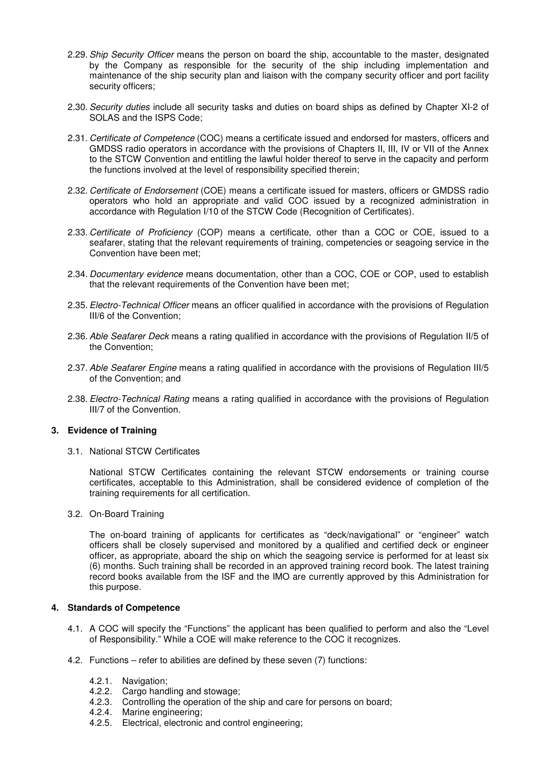- 2.29. Ship Security Officer means the person on board the ship, accountable to the master, designated by the Company as responsible for the security of the ship including implementation and maintenance of the ship security plan and liaison with the company security officer and port facility security officers;
- 2.30. Security duties include all security tasks and duties on board ships as defined by Chapter XI-2 of SOLAS and the ISPS Code;
- 2.31. Certificate of Competence (COC) means a certificate issued and endorsed for masters, officers and GMDSS radio operators in accordance with the provisions of Chapters II, III, IV or VII of the Annex to the STCW Convention and entitling the lawful holder thereof to serve in the capacity and perform the functions involved at the level of responsibility specified therein;
- 2.32. Certificate of Endorsement (COE) means a certificate issued for masters, officers or GMDSS radio operators who hold an appropriate and valid COC issued by a recognized administration in accordance with Regulation I/10 of the STCW Code (Recognition of Certificates).
- 2.33. Certificate of Proficiency (COP) means a certificate, other than a COC or COE, issued to a seafarer, stating that the relevant requirements of training, competencies or seagoing service in the Convention have been met;
- 2.34. Documentary evidence means documentation, other than a COC, COE or COP, used to establish that the relevant requirements of the Convention have been met;
- 2.35. Electro-Technical Officer means an officer qualified in accordance with the provisions of Regulation III/6 of the Convention;
- 2.36. Able Seafarer Deck means a rating qualified in accordance with the provisions of Regulation II/5 of the Convention;
- 2.37. Able Seafarer Engine means a rating qualified in accordance with the provisions of Regulation III/5 of the Convention; and
- 2.38. Electro-Technical Rating means a rating qualified in accordance with the provisions of Regulation III/7 of the Convention.

## **3. Evidence of Training**

3.1. National STCW Certificates

National STCW Certificates containing the relevant STCW endorsements or training course certificates, acceptable to this Administration, shall be considered evidence of completion of the training requirements for all certification.

3.2. On-Board Training

The on-board training of applicants for certificates as "deck/navigational" or "engineer" watch officers shall be closely supervised and monitored by a qualified and certified deck or engineer officer, as appropriate, aboard the ship on which the seagoing service is performed for at least six (6) months. Such training shall be recorded in an approved training record book. The latest training record books available from the ISF and the IMO are currently approved by this Administration for this purpose.

## **4. Standards of Competence**

- 4.1. A COC will specify the "Functions" the applicant has been qualified to perform and also the "Level of Responsibility." While a COE will make reference to the COC it recognizes.
- 4.2. Functions refer to abilities are defined by these seven (7) functions:
	- 4.2.1. Navigation;
	- 4.2.2. Cargo handling and stowage;
	- 4.2.3. Controlling the operation of the ship and care for persons on board;
	- 4.2.4. Marine engineering;
	- 4.2.5. Electrical, electronic and control engineering;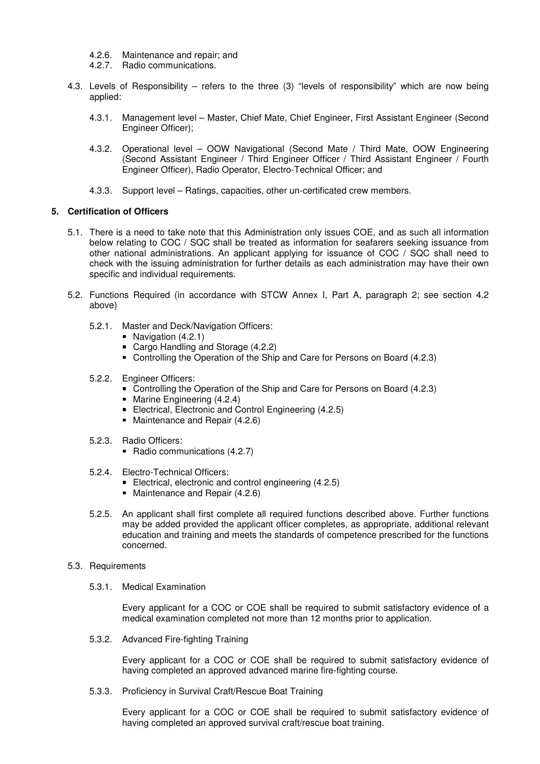- 4.2.6. Maintenance and repair; and
- 4.2.7. Radio communications.
- 4.3. Levels of Responsibility refers to the three (3) "levels of responsibility" which are now being applied:
	- 4.3.1. Management level Master, Chief Mate, Chief Engineer, First Assistant Engineer (Second Engineer Officer);
	- 4.3.2. Operational level OOW Navigational (Second Mate / Third Mate, OOW Engineering (Second Assistant Engineer / Third Engineer Officer / Third Assistant Engineer / Fourth Engineer Officer), Radio Operator, Electro-Technical Officer; and
	- 4.3.3. Support level Ratings, capacities, other un-certificated crew members.

#### **5. Certification of Officers**

- 5.1. There is a need to take note that this Administration only issues COE, and as such all information below relating to COC / SQC shall be treated as information for seafarers seeking issuance from other national administrations. An applicant applying for issuance of COC / SQC shall need to check with the issuing administration for further details as each administration may have their own specific and individual requirements.
- 5.2. Functions Required (in accordance with STCW Annex I, Part A, paragraph 2; see section 4.2 above)
	- 5.2.1. Master and Deck/Navigation Officers:
		- Navigation (4.2.1)
		- Cargo Handling and Storage (4.2.2)
		- Controlling the Operation of the Ship and Care for Persons on Board (4.2.3)
	- 5.2.2. Engineer Officers:
		- Controlling the Operation of the Ship and Care for Persons on Board (4.2.3)
		- Marine Engineering (4.2.4)
		- Electrical, Electronic and Control Engineering (4.2.5)
		- Maintenance and Repair (4.2.6)
	- 5.2.3. Radio Officers:
		- Radio communications (4.2.7)
	- 5.2.4. Electro-Technical Officers:
		- Electrical, electronic and control engineering (4.2.5)
		- **Maintenance and Repair (4.2.6)**
	- 5.2.5. An applicant shall first complete all required functions described above. Further functions may be added provided the applicant officer completes, as appropriate, additional relevant education and training and meets the standards of competence prescribed for the functions concerned.
- 5.3. Requirements
	- 5.3.1. Medical Examination

Every applicant for a COC or COE shall be required to submit satisfactory evidence of a medical examination completed not more than 12 months prior to application.

5.3.2. Advanced Fire-fighting Training

Every applicant for a COC or COE shall be required to submit satisfactory evidence of having completed an approved advanced marine fire-fighting course.

5.3.3. Proficiency in Survival Craft/Rescue Boat Training

Every applicant for a COC or COE shall be required to submit satisfactory evidence of having completed an approved survival craft/rescue boat training.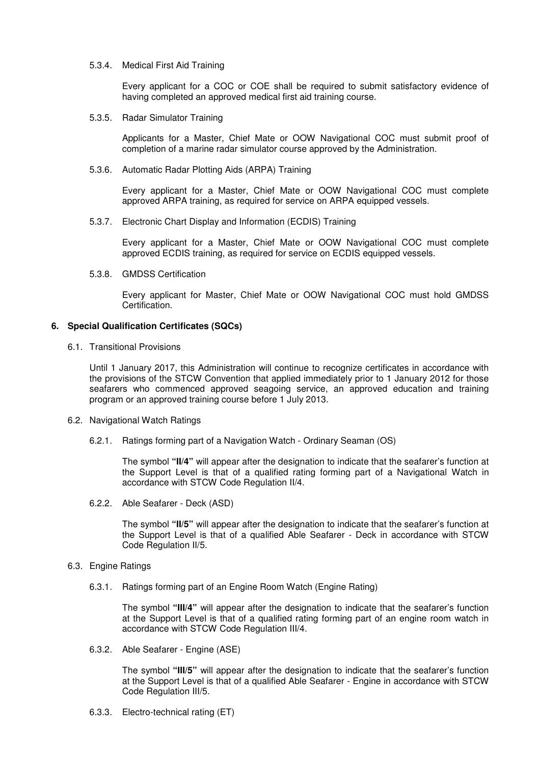5.3.4. Medical First Aid Training

Every applicant for a COC or COE shall be required to submit satisfactory evidence of having completed an approved medical first aid training course.

5.3.5. Radar Simulator Training

Applicants for a Master, Chief Mate or OOW Navigational COC must submit proof of completion of a marine radar simulator course approved by the Administration.

5.3.6. Automatic Radar Plotting Aids (ARPA) Training

Every applicant for a Master, Chief Mate or OOW Navigational COC must complete approved ARPA training, as required for service on ARPA equipped vessels.

5.3.7. Electronic Chart Display and Information (ECDIS) Training

Every applicant for a Master, Chief Mate or OOW Navigational COC must complete approved ECDIS training, as required for service on ECDIS equipped vessels.

5.3.8. GMDSS Certification

Every applicant for Master, Chief Mate or OOW Navigational COC must hold GMDSS Certification.

#### **6. Special Qualification Certificates (SQCs)**

6.1. Transitional Provisions

Until 1 January 2017, this Administration will continue to recognize certificates in accordance with the provisions of the STCW Convention that applied immediately prior to 1 January 2012 for those seafarers who commenced approved seagoing service, an approved education and training program or an approved training course before 1 July 2013.

- 6.2. Navigational Watch Ratings
	- 6.2.1. Ratings forming part of a Navigation Watch Ordinary Seaman (OS)

The symbol **"II/4"** will appear after the designation to indicate that the seafarer's function at the Support Level is that of a qualified rating forming part of a Navigational Watch in accordance with STCW Code Regulation II/4.

6.2.2. Able Seafarer - Deck (ASD)

The symbol **"II/5"** will appear after the designation to indicate that the seafarer's function at the Support Level is that of a qualified Able Seafarer - Deck in accordance with STCW Code Regulation II/5.

- 6.3. Engine Ratings
	- 6.3.1. Ratings forming part of an Engine Room Watch (Engine Rating)

The symbol **"III/4"** will appear after the designation to indicate that the seafarer's function at the Support Level is that of a qualified rating forming part of an engine room watch in accordance with STCW Code Regulation III/4.

6.3.2. Able Seafarer - Engine (ASE)

The symbol **"III/5"** will appear after the designation to indicate that the seafarer's function at the Support Level is that of a qualified Able Seafarer - Engine in accordance with STCW Code Regulation III/5.

6.3.3. Electro-technical rating (ET)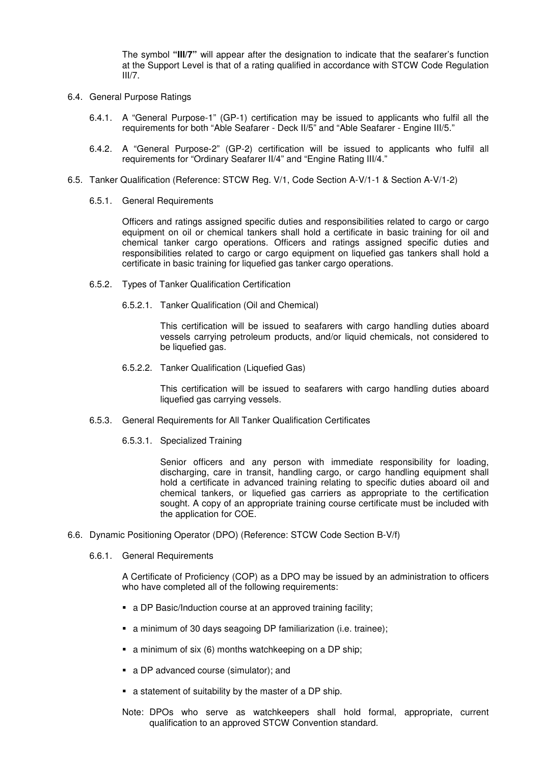The symbol **"III/7"** will appear after the designation to indicate that the seafarer's function at the Support Level is that of a rating qualified in accordance with STCW Code Regulation III/7.

- 6.4. General Purpose Ratings
	- 6.4.1. A "General Purpose-1" (GP-1) certification may be issued to applicants who fulfil all the requirements for both "Able Seafarer - Deck II/5" and "Able Seafarer - Engine III/5."
	- 6.4.2. A "General Purpose-2" (GP-2) certification will be issued to applicants who fulfil all requirements for "Ordinary Seafarer II/4" and "Engine Rating III/4."
- 6.5. Tanker Qualification (Reference: STCW Reg. V/1, Code Section A-V/1-1 & Section A-V/1-2)
	- 6.5.1. General Requirements

Officers and ratings assigned specific duties and responsibilities related to cargo or cargo equipment on oil or chemical tankers shall hold a certificate in basic training for oil and chemical tanker cargo operations. Officers and ratings assigned specific duties and responsibilities related to cargo or cargo equipment on liquefied gas tankers shall hold a certificate in basic training for liquefied gas tanker cargo operations.

- 6.5.2. Types of Tanker Qualification Certification
	- 6.5.2.1. Tanker Qualification (Oil and Chemical)

This certification will be issued to seafarers with cargo handling duties aboard vessels carrying petroleum products, and/or liquid chemicals, not considered to be liquefied gas.

6.5.2.2. Tanker Qualification (Liquefied Gas)

This certification will be issued to seafarers with cargo handling duties aboard liquefied gas carrying vessels.

- 6.5.3. General Requirements for All Tanker Qualification Certificates
	- 6.5.3.1. Specialized Training

Senior officers and any person with immediate responsibility for loading, discharging, care in transit, handling cargo, or cargo handling equipment shall hold a certificate in advanced training relating to specific duties aboard oil and chemical tankers, or liquefied gas carriers as appropriate to the certification sought. A copy of an appropriate training course certificate must be included with the application for COE.

- 6.6. Dynamic Positioning Operator (DPO) (Reference: STCW Code Section B-V/f)
	- 6.6.1. General Requirements

A Certificate of Proficiency (COP) as a DPO may be issued by an administration to officers who have completed all of the following requirements:

- a DP Basic/Induction course at an approved training facility;
- a minimum of 30 days seagoing DP familiarization (i.e. trainee);
- a minimum of six (6) months watchkeeping on a DP ship;
- a DP advanced course (simulator); and
- a statement of suitability by the master of a DP ship.
- Note: DPOs who serve as watchkeepers shall hold formal, appropriate, current qualification to an approved STCW Convention standard.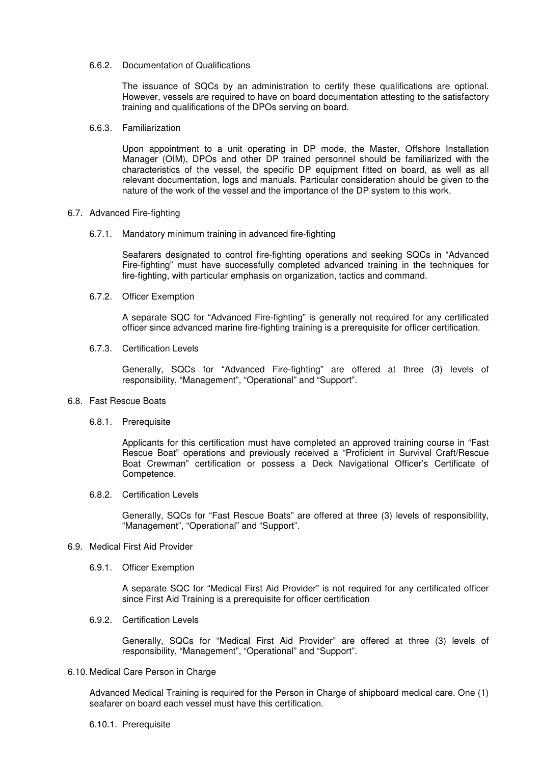#### 6.6.2. Documentation of Qualifications

The issuance of SQCs by an administration to certify these qualifications are optional. However, vessels are required to have on board documentation attesting to the satisfactory training and qualifications of the DPOs serving on board.

#### 6.6.3. Familiarization

Upon appointment to a unit operating in DP mode, the Master, Offshore Installation Manager (OIM), DPOs and other DP trained personnel should be familiarized with the characteristics of the vessel, the specific DP equipment fitted on board, as well as all relevant documentation, logs and manuals. Particular consideration should be given to the nature of the work of the vessel and the importance of the DP system to this work.

#### 6.7. Advanced Fire-fighting

#### 6.7.1. Mandatory minimum training in advanced fire-fighting

Seafarers designated to control fire-fighting operations and seeking SQCs in "Advanced Fire-fighting" must have successfully completed advanced training in the techniques for fire-fighting, with particular emphasis on organization, tactics and command.

#### 6.7.2. Officer Exemption

A separate SQC for "Advanced Fire-fighting" is generally not required for any certificated officer since advanced marine fire-fighting training is a prerequisite for officer certification.

#### 6.7.3. Certification Levels

Generally, SQCs for "Advanced Fire-fighting" are offered at three (3) levels of responsibility, "Management", "Operational" and "Support".

#### 6.8. Fast Rescue Boats

6.8.1. Prerequisite

Applicants for this certification must have completed an approved training course in "Fast Rescue Boat" operations and previously received a "Proficient in Survival Craft/Rescue Boat Crewman" certification or possess a Deck Navigational Officer's Certificate of Competence.

6.8.2. Certification Levels

Generally, SQCs for "Fast Rescue Boats" are offered at three (3) levels of responsibility, "Management", "Operational" and "Support".

#### 6.9. Medical First Aid Provider

6.9.1. Officer Exemption

A separate SQC for "Medical First Aid Provider" is not required for any certificated officer since First Aid Training is a prerequisite for officer certification

6.9.2. Certification Levels

Generally, SQCs for "Medical First Aid Provider" are offered at three (3) levels of responsibility, "Management", "Operational" and "Support".

#### 6.10. Medical Care Person in Charge

Advanced Medical Training is required for the Person in Charge of shipboard medical care. One (1) seafarer on board each vessel must have this certification.

6.10.1. Prerequisite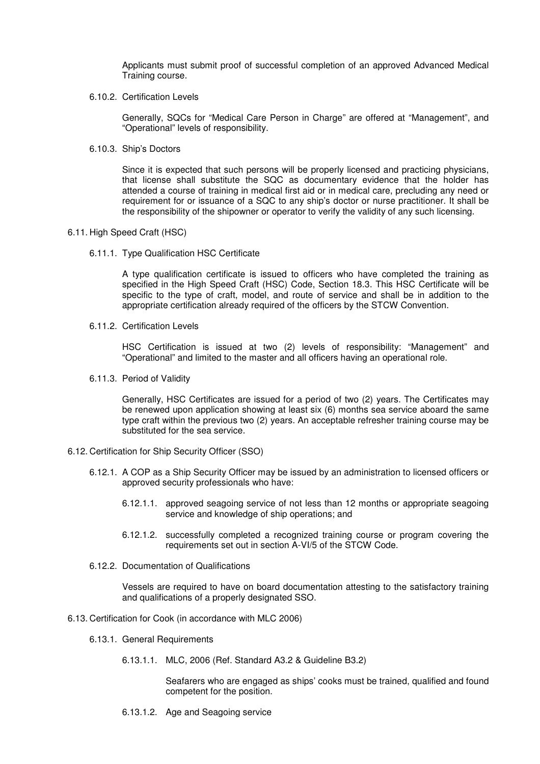Applicants must submit proof of successful completion of an approved Advanced Medical Training course.

6.10.2. Certification Levels

Generally, SQCs for "Medical Care Person in Charge" are offered at "Management", and "Operational" levels of responsibility.

6.10.3. Ship's Doctors

Since it is expected that such persons will be properly licensed and practicing physicians, that license shall substitute the SQC as documentary evidence that the holder has attended a course of training in medical first aid or in medical care, precluding any need or requirement for or issuance of a SQC to any ship's doctor or nurse practitioner. It shall be the responsibility of the shipowner or operator to verify the validity of any such licensing.

#### 6.11. High Speed Craft (HSC)

6.11.1. Type Qualification HSC Certificate

A type qualification certificate is issued to officers who have completed the training as specified in the High Speed Craft (HSC) Code, Section 18.3. This HSC Certificate will be specific to the type of craft, model, and route of service and shall be in addition to the appropriate certification already required of the officers by the STCW Convention.

6.11.2. Certification Levels

HSC Certification is issued at two (2) levels of responsibility: "Management" and "Operational" and limited to the master and all officers having an operational role.

6.11.3. Period of Validity

Generally, HSC Certificates are issued for a period of two (2) years. The Certificates may be renewed upon application showing at least six (6) months sea service aboard the same type craft within the previous two (2) years. An acceptable refresher training course may be substituted for the sea service.

- 6.12. Certification for Ship Security Officer (SSO)
	- 6.12.1. A COP as a Ship Security Officer may be issued by an administration to licensed officers or approved security professionals who have:
		- 6.12.1.1. approved seagoing service of not less than 12 months or appropriate seagoing service and knowledge of ship operations; and
		- 6.12.1.2. successfully completed a recognized training course or program covering the requirements set out in section A-VI/5 of the STCW Code.
	- 6.12.2. Documentation of Qualifications

Vessels are required to have on board documentation attesting to the satisfactory training and qualifications of a properly designated SSO.

- 6.13. Certification for Cook (in accordance with MLC 2006)
	- 6.13.1. General Requirements
		- 6.13.1.1. MLC, 2006 (Ref. Standard A3.2 & Guideline B3.2)

Seafarers who are engaged as ships' cooks must be trained, qualified and found competent for the position.

6.13.1.2. Age and Seagoing service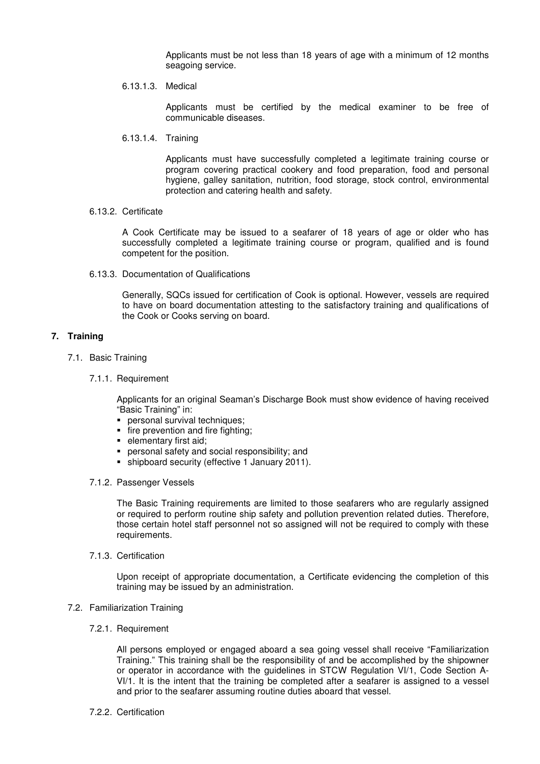Applicants must be not less than 18 years of age with a minimum of 12 months seagoing service.

6.13.1.3. Medical

Applicants must be certified by the medical examiner to be free of communicable diseases.

6.13.1.4. Training

Applicants must have successfully completed a legitimate training course or program covering practical cookery and food preparation, food and personal hygiene, galley sanitation, nutrition, food storage, stock control, environmental protection and catering health and safety.

6.13.2. Certificate

A Cook Certificate may be issued to a seafarer of 18 years of age or older who has successfully completed a legitimate training course or program, qualified and is found competent for the position.

6.13.3. Documentation of Qualifications

Generally, SQCs issued for certification of Cook is optional. However, vessels are required to have on board documentation attesting to the satisfactory training and qualifications of the Cook or Cooks serving on board.

#### **7. Training**

- 7.1. Basic Training
	- 7.1.1. Requirement

Applicants for an original Seaman's Discharge Book must show evidence of having received "Basic Training" in:

- **personal survival techniques:**
- fire prevention and fire fighting;
- **elementary first aid;**
- personal safety and social responsibility; and
- shipboard security (effective 1 January 2011).
- 7.1.2. Passenger Vessels

The Basic Training requirements are limited to those seafarers who are regularly assigned or required to perform routine ship safety and pollution prevention related duties. Therefore, those certain hotel staff personnel not so assigned will not be required to comply with these requirements.

7.1.3. Certification

Upon receipt of appropriate documentation, a Certificate evidencing the completion of this training may be issued by an administration.

- 7.2. Familiarization Training
	- 7.2.1. Requirement

All persons employed or engaged aboard a sea going vessel shall receive "Familiarization Training." This training shall be the responsibility of and be accomplished by the shipowner or operator in accordance with the guidelines in STCW Regulation VI/1, Code Section A-VI/1. It is the intent that the training be completed after a seafarer is assigned to a vessel and prior to the seafarer assuming routine duties aboard that vessel.

7.2.2. Certification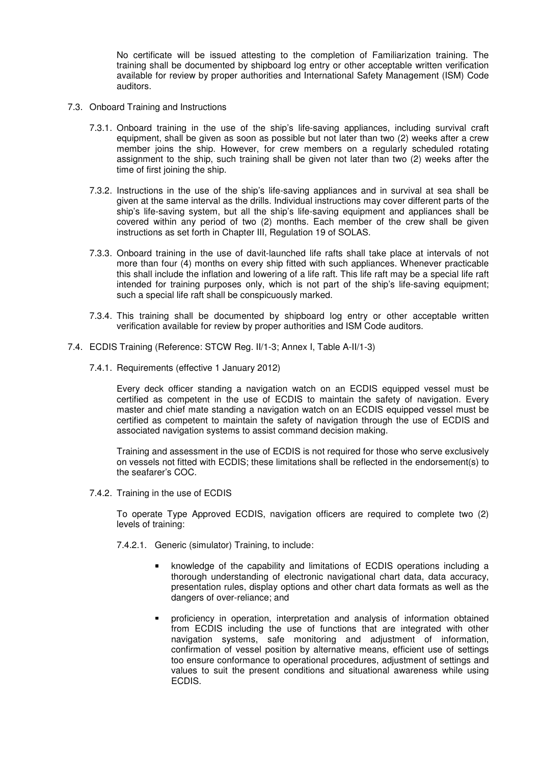No certificate will be issued attesting to the completion of Familiarization training. The training shall be documented by shipboard log entry or other acceptable written verification available for review by proper authorities and International Safety Management (ISM) Code auditors.

- 7.3. Onboard Training and Instructions
	- 7.3.1. Onboard training in the use of the ship's life-saving appliances, including survival craft equipment, shall be given as soon as possible but not later than two (2) weeks after a crew member joins the ship. However, for crew members on a regularly scheduled rotating assignment to the ship, such training shall be given not later than two (2) weeks after the time of first joining the ship.
	- 7.3.2. Instructions in the use of the ship's life-saving appliances and in survival at sea shall be given at the same interval as the drills. Individual instructions may cover different parts of the ship's life-saving system, but all the ship's life-saving equipment and appliances shall be covered within any period of two (2) months. Each member of the crew shall be given instructions as set forth in Chapter III, Regulation 19 of SOLAS.
	- 7.3.3. Onboard training in the use of davit-launched life rafts shall take place at intervals of not more than four (4) months on every ship fitted with such appliances. Whenever practicable this shall include the inflation and lowering of a life raft. This life raft may be a special life raft intended for training purposes only, which is not part of the ship's life-saving equipment; such a special life raft shall be conspicuously marked.
	- 7.3.4. This training shall be documented by shipboard log entry or other acceptable written verification available for review by proper authorities and ISM Code auditors.
- 7.4. ECDIS Training (Reference: STCW Reg. II/1-3; Annex I, Table A-II/1-3)
	- 7.4.1. Requirements (effective 1 January 2012)

Every deck officer standing a navigation watch on an ECDIS equipped vessel must be certified as competent in the use of ECDIS to maintain the safety of navigation. Every master and chief mate standing a navigation watch on an ECDIS equipped vessel must be certified as competent to maintain the safety of navigation through the use of ECDIS and associated navigation systems to assist command decision making.

Training and assessment in the use of ECDIS is not required for those who serve exclusively on vessels not fitted with ECDIS; these limitations shall be reflected in the endorsement(s) to the seafarer's COC.

7.4.2. Training in the use of ECDIS

To operate Type Approved ECDIS, navigation officers are required to complete two (2) levels of training:

- 7.4.2.1. Generic (simulator) Training, to include:
	- knowledge of the capability and limitations of ECDIS operations including a thorough understanding of electronic navigational chart data, data accuracy, presentation rules, display options and other chart data formats as well as the dangers of over-reliance; and
	- proficiency in operation, interpretation and analysis of information obtained from ECDIS including the use of functions that are integrated with other navigation systems, safe monitoring and adjustment of information, confirmation of vessel position by alternative means, efficient use of settings too ensure conformance to operational procedures, adjustment of settings and values to suit the present conditions and situational awareness while using ECDIS.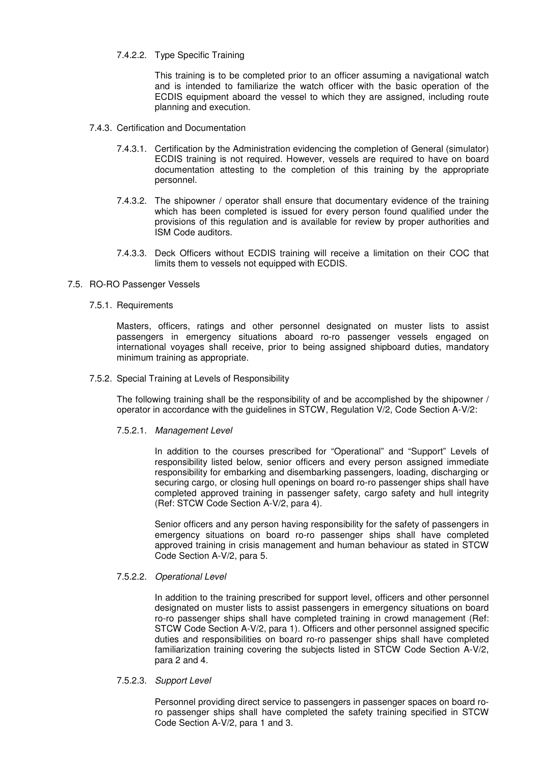7.4.2.2. Type Specific Training

This training is to be completed prior to an officer assuming a navigational watch and is intended to familiarize the watch officer with the basic operation of the ECDIS equipment aboard the vessel to which they are assigned, including route planning and execution.

- 7.4.3. Certification and Documentation
	- 7.4.3.1. Certification by the Administration evidencing the completion of General (simulator) ECDIS training is not required. However, vessels are required to have on board documentation attesting to the completion of this training by the appropriate personnel.
	- 7.4.3.2. The shipowner / operator shall ensure that documentary evidence of the training which has been completed is issued for every person found qualified under the provisions of this regulation and is available for review by proper authorities and ISM Code auditors.
	- 7.4.3.3. Deck Officers without ECDIS training will receive a limitation on their COC that limits them to vessels not equipped with ECDIS.
- 7.5. RO-RO Passenger Vessels
	- 7.5.1. Requirements

Masters, officers, ratings and other personnel designated on muster lists to assist passengers in emergency situations aboard ro-ro passenger vessels engaged on international voyages shall receive, prior to being assigned shipboard duties, mandatory minimum training as appropriate.

7.5.2. Special Training at Levels of Responsibility

The following training shall be the responsibility of and be accomplished by the shipowner / operator in accordance with the guidelines in STCW, Regulation V/2, Code Section A-V/2:

7.5.2.1. Management Level

In addition to the courses prescribed for "Operational" and "Support" Levels of responsibility listed below, senior officers and every person assigned immediate responsibility for embarking and disembarking passengers, loading, discharging or securing cargo, or closing hull openings on board ro-ro passenger ships shall have completed approved training in passenger safety, cargo safety and hull integrity (Ref: STCW Code Section A-V/2, para 4).

Senior officers and any person having responsibility for the safety of passengers in emergency situations on board ro-ro passenger ships shall have completed approved training in crisis management and human behaviour as stated in STCW Code Section A-V/2, para 5.

#### 7.5.2.2. Operational Level

In addition to the training prescribed for support level, officers and other personnel designated on muster lists to assist passengers in emergency situations on board ro-ro passenger ships shall have completed training in crowd management (Ref: STCW Code Section A-V/2, para 1). Officers and other personnel assigned specific duties and responsibilities on board ro-ro passenger ships shall have completed familiarization training covering the subjects listed in STCW Code Section A-V/2, para 2 and 4.

7.5.2.3. Support Level

Personnel providing direct service to passengers in passenger spaces on board roro passenger ships shall have completed the safety training specified in STCW Code Section A-V/2, para 1 and 3.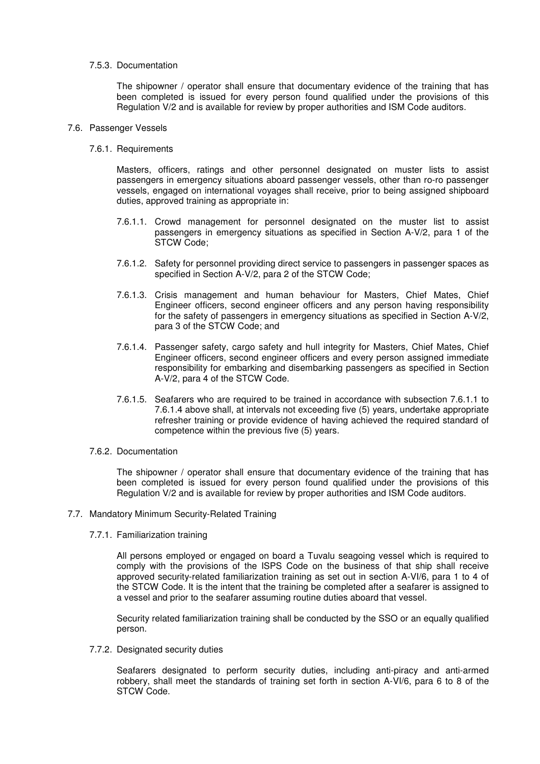#### 7.5.3. Documentation

The shipowner / operator shall ensure that documentary evidence of the training that has been completed is issued for every person found qualified under the provisions of this Regulation V/2 and is available for review by proper authorities and ISM Code auditors.

#### 7.6. Passenger Vessels

7.6.1. Requirements

Masters, officers, ratings and other personnel designated on muster lists to assist passengers in emergency situations aboard passenger vessels, other than ro-ro passenger vessels, engaged on international voyages shall receive, prior to being assigned shipboard duties, approved training as appropriate in:

- 7.6.1.1. Crowd management for personnel designated on the muster list to assist passengers in emergency situations as specified in Section A-V/2, para 1 of the STCW Code;
- 7.6.1.2. Safety for personnel providing direct service to passengers in passenger spaces as specified in Section A-V/2, para 2 of the STCW Code;
- 7.6.1.3. Crisis management and human behaviour for Masters, Chief Mates, Chief Engineer officers, second engineer officers and any person having responsibility for the safety of passengers in emergency situations as specified in Section A-V/2, para 3 of the STCW Code; and
- 7.6.1.4. Passenger safety, cargo safety and hull integrity for Masters, Chief Mates, Chief Engineer officers, second engineer officers and every person assigned immediate responsibility for embarking and disembarking passengers as specified in Section A-V/2, para 4 of the STCW Code.
- 7.6.1.5. Seafarers who are required to be trained in accordance with subsection 7.6.1.1 to 7.6.1.4 above shall, at intervals not exceeding five (5) years, undertake appropriate refresher training or provide evidence of having achieved the required standard of competence within the previous five (5) years.
- 7.6.2. Documentation

The shipowner / operator shall ensure that documentary evidence of the training that has been completed is issued for every person found qualified under the provisions of this Regulation V/2 and is available for review by proper authorities and ISM Code auditors.

- 7.7. Mandatory Minimum Security-Related Training
	- 7.7.1. Familiarization training

All persons employed or engaged on board a Tuvalu seagoing vessel which is required to comply with the provisions of the ISPS Code on the business of that ship shall receive approved security-related familiarization training as set out in section A-VI/6, para 1 to 4 of the STCW Code. It is the intent that the training be completed after a seafarer is assigned to a vessel and prior to the seafarer assuming routine duties aboard that vessel.

Security related familiarization training shall be conducted by the SSO or an equally qualified person.

7.7.2. Designated security duties

Seafarers designated to perform security duties, including anti-piracy and anti-armed robbery, shall meet the standards of training set forth in section A-VI/6, para 6 to 8 of the STCW Code.